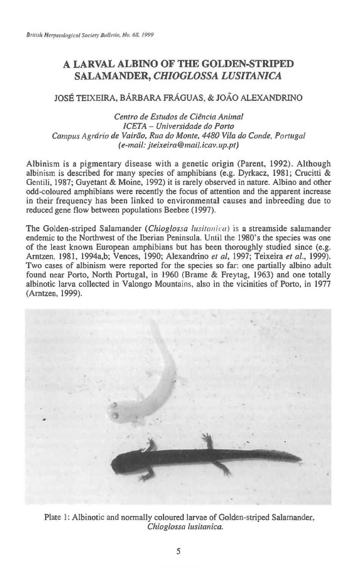## **A LARVAL ALBINO OF THE GOLDEN-STRIPED SALAMANDER,** *CHIOGLOSSA LUSITANICA*

## JOSE TEIXEIRA, BARBARA FRAGUAS, & JOAO ALEXANDRINO

*Centro de Estudos de Ciencia Animal ICETA — Universidade do Porto*  Campus Agrário de Vairão, Rua do Monte, 4480 Vila do Conde, Portugal *(e-mail: jteixeira@maiticay.up.pt)* 

Albinism is a pigmentary disease with a genetic origin (Parent, 1992). Although albinism is described for many species of amphibians (e.g. Dyrkacz, 1981; Crucitti & Gentili, 1987; Guyetant & Moine, 1992) it is rarely observed in nature. Albino and other odd-coloured amphibians were recently the focus of attention and the apparent increase in their frequency has been linked to environmental causes and inbreeding due to reduced gene flow between populations Beebee (1997).

The Golden-striped Salamander *(Chioglossa lusitanica) is* a streamside salamander endemic to the Northwest of the Iberian Peninsula. Until the 1980's the species was one of the least known European amphibians but has been thoroughly studied since (e.g. Arntzen, 1981, 1994a,b; Vences, 1990; Alexandrino *et al,* 1997; Teixeira *et al.,* 1999). Two cases of albinism were reported for the species so far: one partially albino adult found near Porto, North Portugal, in 1960 (Brame & Freytag, 1963) and one totally albinotic larva collected in Valongo Mountains, also in the vicinities of Porto, in 1977 (Arntzen, 1999).



Plate 1: Albinotic and normally coloured larvae of Golden-striped Salamander, *Chioglossa lusitanica.*